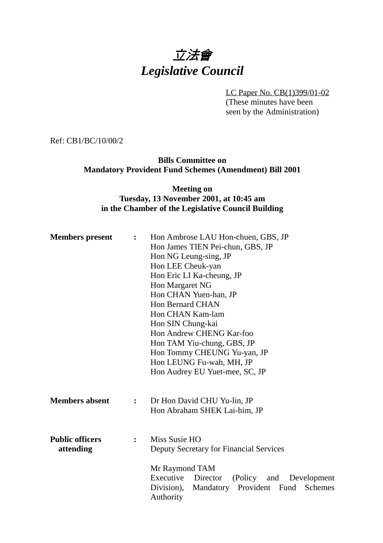# 立法會 *Legislative Council*

LC Paper No. CB(1)399/01-02 (These minutes have been seen by the Administration)

Ref: CB1/BC/10/00/2

**Bills Committee on Mandatory Provident Fund Schemes (Amendment) Bill 2001**

#### **Meeting on Tuesday, 13 November 2001, at 10:45 am in the Chamber of the Legislative Council Building**

| <b>Members</b> present              | $\ddot{\cdot}$ | Hon Ambrose LAU Hon-chuen, GBS, JP<br>Hon James TIEN Pei-chun, GBS, JP<br>Hon NG Leung-sing, JP<br>Hon LEE Cheuk-yan<br>Hon Eric LI Ka-cheung, JP<br>Hon Margaret NG<br>Hon CHAN Yuen-han, JP<br><b>Hon Bernard CHAN</b><br>Hon CHAN Kam-lam<br>Hon SIN Chung-kai<br>Hon Andrew CHENG Kar-foo<br>Hon TAM Yiu-chung, GBS, JP<br>Hon Tommy CHEUNG Yu-yan, JP<br>Hon LEUNG Fu-wah, MH, JP |
|-------------------------------------|----------------|----------------------------------------------------------------------------------------------------------------------------------------------------------------------------------------------------------------------------------------------------------------------------------------------------------------------------------------------------------------------------------------|
| <b>Members absent</b>               | $\mathbf{r}$   | Hon Audrey EU Yuet-mee, SC, JP<br>Dr Hon David CHU Yu-lin, JP<br>Hon Abraham SHEK Lai-him, JP                                                                                                                                                                                                                                                                                          |
| <b>Public officers</b><br>attending | $\ddot{\cdot}$ | Miss Susie HO<br>Deputy Secretary for Financial Services                                                                                                                                                                                                                                                                                                                               |
|                                     |                | Mr Raymond TAM<br>Executive<br>Director<br>(Policy and<br>Development<br>Division),<br>Mandatory<br>Provident Fund<br>Schemes<br>Authority                                                                                                                                                                                                                                             |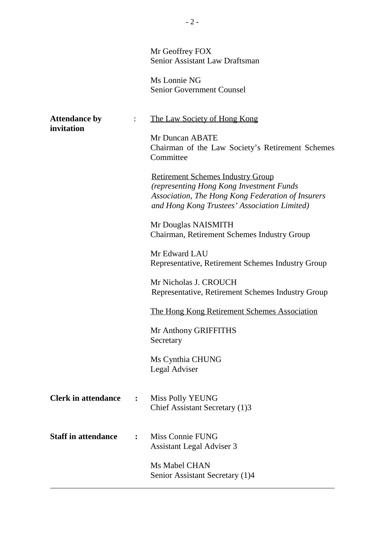|                                    |                | Mr Geoffrey FOX<br><b>Senior Assistant Law Draftsman</b><br>Ms Lonnie NG<br><b>Senior Government Counsel</b>                                                                                                                                                                                                                                                                                                                                                                                                                                                                                                                                                      |
|------------------------------------|----------------|-------------------------------------------------------------------------------------------------------------------------------------------------------------------------------------------------------------------------------------------------------------------------------------------------------------------------------------------------------------------------------------------------------------------------------------------------------------------------------------------------------------------------------------------------------------------------------------------------------------------------------------------------------------------|
| <b>Attendance by</b><br>invitation |                | The Law Society of Hong Kong<br>Mr Duncan ABATE<br>Chairman of the Law Society's Retirement Schemes<br>Committee<br><b>Retirement Schemes Industry Group</b><br>(representing Hong Kong Investment Funds<br>Association, The Hong Kong Federation of Insurers<br>and Hong Kong Trustees' Association Limited)<br>Mr Douglas NAISMITH<br>Chairman, Retirement Schemes Industry Group<br>Mr Edward LAU<br>Representative, Retirement Schemes Industry Group<br>Mr Nicholas J. CROUCH<br>Representative, Retirement Schemes Industry Group<br>The Hong Kong Retirement Schemes Association<br>Mr Anthony GRIFFITHS<br>Secretary<br>Ms Cynthia CHUNG<br>Legal Adviser |
| <b>Clerk in attendance</b>         | $\ddot{\cdot}$ | <b>Miss Polly YEUNG</b><br>Chief Assistant Secretary (1)3                                                                                                                                                                                                                                                                                                                                                                                                                                                                                                                                                                                                         |
| <b>Staff in attendance</b>         | $\mathbf{r}$   | Miss Connie FUNG<br><b>Assistant Legal Adviser 3</b>                                                                                                                                                                                                                                                                                                                                                                                                                                                                                                                                                                                                              |

Ms Mabel CHAN Senior Assistant Secretary (1)4

 $\overline{a}$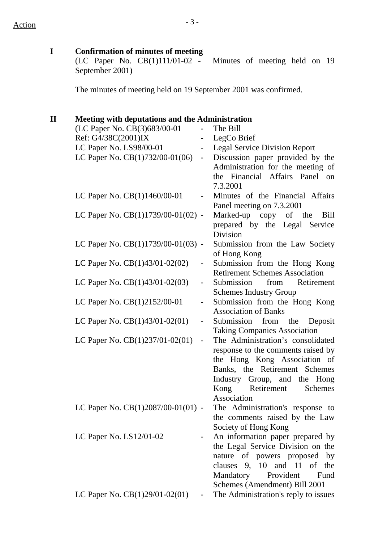**I Confirmation of minutes of meeting**

(LC Paper No. CB(1)111/01-02 - Minutes of meeting held on 19 September 2001)

The minutes of meeting held on 19 September 2001 was confirmed.

#### **II Meeting with deputations and the Administration**

| (LC Paper No. CB(3)683/00-01                                 | The Bill                              |
|--------------------------------------------------------------|---------------------------------------|
| Ref: G4/38C(2001)IX                                          | LegCo Brief                           |
| LC Paper No. LS98/00-01                                      | <b>Legal Service Division Report</b>  |
| LC Paper No. CB(1)732/00-01(06)<br>$\overline{\phantom{a}}$  | Discussion paper provided by the      |
|                                                              | Administration for the meeting of     |
|                                                              | the Financial Affairs Panel on        |
|                                                              | 7.3.2001                              |
| LC Paper No. CB(1)1460/00-01                                 | Minutes of the Financial Affairs      |
|                                                              | Panel meeting on 7.3.2001             |
| LC Paper No. CB(1)1739/00-01(02) -                           | Marked-up copy of the<br><b>Bill</b>  |
|                                                              | prepared by the Legal Service         |
|                                                              | Division                              |
| LC Paper No. CB(1)1739/00-01(03) -                           | Submission from the Law Society       |
|                                                              | of Hong Kong                          |
| LC Paper No. $CB(1)43/01-02(02)$<br>$\overline{\phantom{0}}$ | Submission from the Hong Kong         |
|                                                              | <b>Retirement Schemes Association</b> |
| LC Paper No. CB(1)43/01-02(03)                               | Submission<br>Retirement<br>from      |
|                                                              | <b>Schemes Industry Group</b>         |
| LC Paper No. CB(1)2152/00-01                                 | Submission from the Hong Kong         |
|                                                              | <b>Association of Banks</b>           |
| LC Paper No. $CB(1)43/01-02(01)$                             | Submission from the Deposit           |
|                                                              | <b>Taking Companies Association</b>   |
| LC Paper No. $CB(1)237/01-02(01)$<br>$\blacksquare$          | The Administration's consolidated     |
|                                                              | response to the comments raised by    |
|                                                              | the Hong Kong Association of          |
|                                                              | Banks, the Retirement Schemes         |
|                                                              | Industry Group, and the Hong          |
|                                                              | Kong<br>Retirement<br>Schemes         |
|                                                              | Association                           |
| LC Paper No. CB(1)2087/00-01(01) -                           | The Administration's response to      |
|                                                              | the comments raised by the Law        |
|                                                              | Society of Hong Kong                  |
| LC Paper No. LS12/01-02                                      | An information paper prepared by      |
|                                                              | the Legal Service Division on the     |
|                                                              | nature of powers proposed by          |
|                                                              | clauses 9, 10 and 11 of the           |
|                                                              | Provident<br>Mandatory<br>Fund        |
|                                                              | Schemes (Amendment) Bill 2001         |
| LC Paper No. $CB(1)29/01-02(01)$                             | The Administration's reply to issues  |
|                                                              |                                       |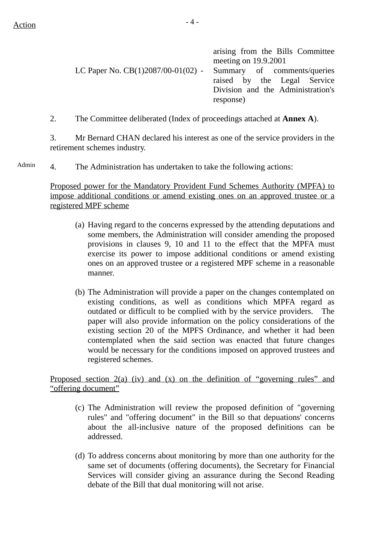$Action$ 

|                                                                  | arising from the Bills Committee<br>meeting on 19.9.2001 |
|------------------------------------------------------------------|----------------------------------------------------------|
| LC Paper No. $CB(1)2087/00-01(02)$ - Summary of comments/queries |                                                          |
|                                                                  | raised by the Legal Service                              |
|                                                                  | Division and the Administration's                        |
|                                                                  | response)                                                |

2. The Committee deliberated (Index of proceedings attached at **Annex A**).

3. Mr Bernard CHAN declared his interest as one of the service providers in the retirement schemes industry.

4. The Administration has undertaken to take the following actions: Admin

> Proposed power for the Mandatory Provident Fund Schemes Authority (MPFA) to impose additional conditions or amend existing ones on an approved trustee or a registered MPF scheme

- (a) Having regard to the concerns expressed by the attending deputations and some members, the Administration will consider amending the proposed provisions in clauses 9, 10 and 11 to the effect that the MPFA must exercise its power to impose additional conditions or amend existing ones on an approved trustee or a registered MPF scheme in a reasonable manner.
- (b) The Administration will provide a paper on the changes contemplated on existing conditions, as well as conditions which MPFA regard as outdated or difficult to be complied with by the service providers. The paper will also provide information on the policy considerations of the existing section 20 of the MPFS Ordinance, and whether it had been contemplated when the said section was enacted that future changes would be necessary for the conditions imposed on approved trustees and registered schemes.

Proposed section 2(a) (iv) and (x) on the definition of "governing rules" and "offering document"

- (c) The Administration will review the proposed definition of "governing rules" and "offering document" in the Bill so that depuations' concerns about the all-inclusive nature of the proposed definitions can be addressed.
- (d) To address concerns about monitoring by more than one authority for the same set of documents (offering documents), the Secretary for Financial Services will consider giving an assurance during the Second Reading debate of the Bill that dual monitoring will not arise.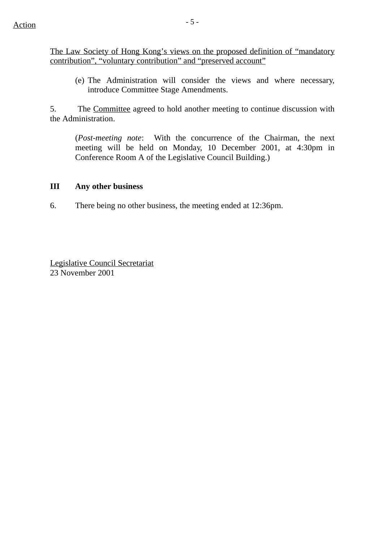The Law Society of Hong Kong's views on the proposed definition of "mandatory contribution", "voluntary contribution" and "preserved account"

(e) The Administration will consider the views and where necessary, introduce Committee Stage Amendments.

5. The Committee agreed to hold another meeting to continue discussion with the Administration.

(*Post-meeting note*: With the concurrence of the Chairman, the next meeting will be held on Monday, 10 December 2001, at 4:30pm in Conference Room A of the Legislative Council Building.)

#### **III Any other business**

6. There being no other business, the meeting ended at 12:36pm.

Legislative Council Secretariat 23 November 2001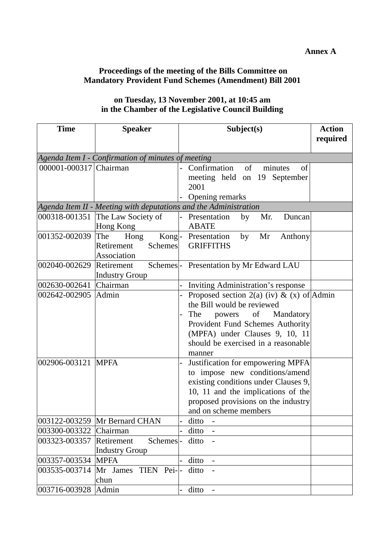#### **Annex A**

### **Proceedings of the meeting of the Bills Committee on Mandatory Provident Fund Schemes (Amendment) Bill 2001**

| on Tuesday, 13 November 2001, at 10:45 am          |
|----------------------------------------------------|
| in the Chamber of the Legislative Council Building |

| <b>Time</b>                                        | <b>Speaker</b>                                                   | Subject(s)                                                                                                                                                                                                                   | <b>Action</b><br>required |  |  |
|----------------------------------------------------|------------------------------------------------------------------|------------------------------------------------------------------------------------------------------------------------------------------------------------------------------------------------------------------------------|---------------------------|--|--|
| Agenda Item I - Confirmation of minutes of meeting |                                                                  |                                                                                                                                                                                                                              |                           |  |  |
| 000001-000317 Chairman                             |                                                                  | of<br>Confirmation<br>of<br>minutes<br>meeting held on 19 September<br>2001<br>Opening remarks                                                                                                                               |                           |  |  |
|                                                    | Agenda Item II - Meeting with deputations and the Administration |                                                                                                                                                                                                                              |                           |  |  |
|                                                    | 000318-001351 The Law Society of<br>Hong Kong                    | Mr.<br>- Presentation<br>by<br>Duncan<br><b>ABATE</b>                                                                                                                                                                        |                           |  |  |
| 001352-002039                                      | The<br>Hong<br>Retirement<br>Schemes<br>Association              | Kong-Presentation<br>by<br>Mr<br>Anthony<br><b>GRIFFITHS</b>                                                                                                                                                                 |                           |  |  |
| 002040-002629                                      | Retirement<br><b>Industry Group</b>                              | Schemes - Presentation by Mr Edward LAU                                                                                                                                                                                      |                           |  |  |
| 002630-002641                                      | Chairman                                                         | Inviting Administration's response                                                                                                                                                                                           |                           |  |  |
| 002642-002905                                      | Admin                                                            | Proposed section 2(a) (iv) & (x) of Admin<br>the Bill would be reviewed<br>The<br>powers of Mandatory<br>Provident Fund Schemes Authority<br>(MPFA) under Clauses 9, 10, 11<br>should be exercised in a reasonable<br>manner |                           |  |  |
| 002906-003121                                      | <b>MPFA</b>                                                      | Justification for empowering MPFA<br>to impose new conditions/amend<br>existing conditions under Clauses 9,<br>10, 11 and the implications of the<br>proposed provisions on the industry<br>and on scheme members            |                           |  |  |
|                                                    | 003122-003259 Mr Bernard CHAN                                    | ditto                                                                                                                                                                                                                        |                           |  |  |
| 003300-003322                                      | Chairman                                                         | ditto                                                                                                                                                                                                                        |                           |  |  |
| 003323-003357                                      | Schemes-<br>Retirement<br><b>Industry Group</b>                  | ditto                                                                                                                                                                                                                        |                           |  |  |
| 003357-003534                                      | <b>MPFA</b>                                                      | ditto                                                                                                                                                                                                                        |                           |  |  |
| 003535-003714                                      | Mr James<br>TIEN Pei-<br>chun                                    | ditto                                                                                                                                                                                                                        |                           |  |  |
| 003716-003928                                      | Admin                                                            | ditto                                                                                                                                                                                                                        |                           |  |  |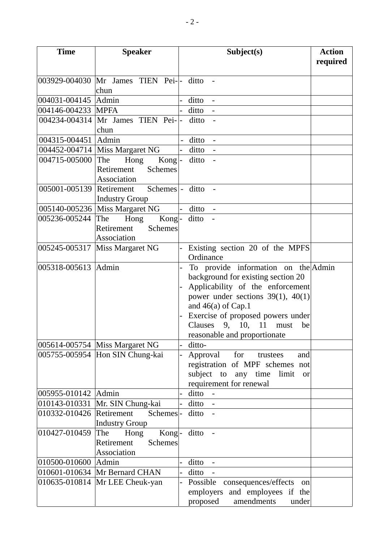| <b>Time</b>         | <b>Speaker</b>                         | Subject(s)                                   | <b>Action</b><br>required |
|---------------------|----------------------------------------|----------------------------------------------|---------------------------|
|                     | 003929-004030 Mr James TIEN Pei- ditto |                                              |                           |
|                     | chun                                   |                                              |                           |
| 004031-004145       | Admin                                  | ditto                                        |                           |
| 004146-004233       | <b>MPFA</b>                            | ditto                                        |                           |
|                     | 004234-004314 Mr James TIEN Pei-       | ditto                                        |                           |
|                     | chun                                   |                                              |                           |
| 004315-004451       | Admin                                  | ditto                                        |                           |
|                     | 004452-004714   Miss Margaret NG       | ditto -                                      |                           |
| 004715-005000       | The<br>Hong<br>$Kong$ -                | ditto<br>$\overline{a}$                      |                           |
|                     | Retirement<br><b>Schemes</b>           |                                              |                           |
|                     | Association                            |                                              |                           |
| 005001-005139       | Schemes  - ditto<br>Retirement         |                                              |                           |
|                     | <b>Industry Group</b>                  |                                              |                           |
|                     | 005140-005236   Miss Margaret NG       | ditto                                        |                           |
| 005236-005244       | Hong<br>Kong-<br>The                   | ditto<br>$\sim$                              |                           |
|                     | <b>Schemes</b><br>Retirement           |                                              |                           |
|                     | Association                            |                                              |                           |
| 005245-005317       | Miss Margaret NG                       | Existing section 20 of the MPFS<br>Ordinance |                           |
| 005318-005613       | Admin                                  | To provide information on the Admin          |                           |
|                     |                                        | background for existing section 20           |                           |
|                     |                                        | Applicability of the enforcement             |                           |
|                     |                                        | power under sections $39(1)$ , $40(1)$       |                           |
|                     |                                        | and $46(a)$ of Cap.1                         |                           |
|                     |                                        | Exercise of proposed powers under            |                           |
|                     |                                        | Clauses $9, 10,$<br>11<br>must<br>be         |                           |
|                     |                                        | reasonable and proportionate                 |                           |
|                     | 005614-005754 Miss Margaret NG         | ditto-                                       |                           |
|                     | 005755-005954 Hon SIN Chung-kai        | Approval for<br>trustees<br>and              |                           |
|                     |                                        | registration of MPF schemes not              |                           |
|                     |                                        | subject to any time limit<br><b>or</b>       |                           |
|                     |                                        | requirement for renewal                      |                           |
| 005955-010142 Admin |                                        | ditto                                        |                           |
| 010143-010331       | Mr. SIN Chung-kai                      | ditto                                        |                           |
| 010332-010426       | Retirement<br>Schemes-                 | ditto                                        |                           |
|                     | <b>Industry Group</b>                  |                                              |                           |
| 010427-010459       | Kong-<br>The<br>Hong                   | ditto                                        |                           |
|                     | Retirement<br><b>Schemes</b>           |                                              |                           |
|                     | Association                            |                                              |                           |
| 010500-010600       | Admin                                  | ditto                                        |                           |
|                     | 010601-010634 Mr Bernard CHAN          | ditto                                        |                           |
| 010635-010814       | Mr LEE Cheuk-yan                       | Possible consequences/effects<br>on          |                           |
|                     |                                        | employers and employees if the               |                           |
|                     |                                        | proposed<br>amendments<br>under              |                           |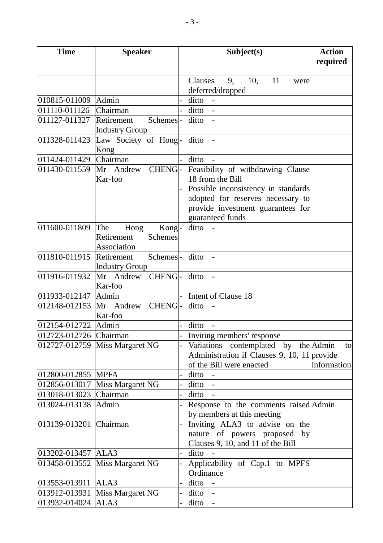| <b>Time</b><br><b>Speaker</b> |                                |                          | Subject(s)                                  | <b>Action</b><br>required |
|-------------------------------|--------------------------------|--------------------------|---------------------------------------------|---------------------------|
|                               |                                |                          | Clauses<br>10,<br>11<br>9,<br>were          |                           |
|                               |                                |                          | deferred/dropped                            |                           |
| 010815-011009                 | Admin                          |                          | ditto                                       |                           |
| 011110-011126                 | Chairman                       |                          | ditto                                       |                           |
| 011127-011327                 | Schemes-<br>Retirement         |                          | ditto                                       |                           |
|                               | <b>Industry Group</b>          |                          |                                             |                           |
| 011328-011423                 | Law Society of Hong-           |                          | ditto                                       |                           |
|                               | Kong                           |                          |                                             |                           |
| 011424-011429                 | Chairman                       |                          | ditto                                       |                           |
| 011430-011559                 | Mr Andrew CHENG-               |                          | Feasibility of withdrawing Clause           |                           |
|                               | Kar-foo                        |                          | 18 from the Bill                            |                           |
|                               |                                |                          | Possible inconsistency in standards         |                           |
|                               |                                |                          | adopted for reserves necessary to           |                           |
|                               |                                |                          | provide investment guarantees for           |                           |
|                               |                                |                          | guaranteed funds                            |                           |
| 011600-011809                 | The<br>Hong<br>Kong-           |                          | ditto                                       |                           |
|                               | Retirement<br><b>Schemes</b>   |                          |                                             |                           |
|                               | Association                    |                          |                                             |                           |
| 011810-011915                 | Retirement<br>Schemes-         |                          | ditto<br>$\overline{\phantom{a}}$           |                           |
|                               | <b>Industry Group</b>          |                          |                                             |                           |
| 011916-011932                 | Mr Andrew CHENG- ditto         |                          |                                             |                           |
| 011933-012147                 | Kar-foo<br>Admin               |                          | Intent of Clause 18                         |                           |
| 012148-012153                 | CHENG-<br>Mr Andrew            |                          | ditto                                       |                           |
|                               | Kar-foo                        |                          |                                             |                           |
| 012154-012722                 | Admin                          |                          | ditto                                       |                           |
| 012723-012726 Chairman        |                                |                          | Inviting members' response                  |                           |
|                               | 012727-012759 Miss Margaret NG |                          | Variations contemplated by the Admin        | to                        |
|                               |                                |                          | Administration if Clauses 9, 10, 11 provide |                           |
|                               |                                |                          | of the Bill were enacted                    | information               |
| 012800-012855                 | <b>MPFA</b>                    |                          | ditto                                       |                           |
| 012856-013017                 | Miss Margaret NG               |                          | ditto                                       |                           |
| 013018-013023                 | <b>Chairman</b>                |                          | ditto                                       |                           |
| 013024-013138                 | Admin                          |                          | Response to the comments raised Admin       |                           |
|                               |                                |                          | by members at this meeting                  |                           |
| 013139-013201                 | Chairman                       |                          | Inviting ALA3 to advise on the              |                           |
|                               |                                |                          | nature of powers proposed<br>by             |                           |
|                               |                                |                          | Clauses 9, 10, and 11 of the Bill           |                           |
| 013202-013457                 | ALA3                           | $\overline{\phantom{0}}$ | ditto                                       |                           |
| 013458-013552                 | Miss Margaret NG               |                          | Applicability of Cap.1 to MPFS              |                           |
|                               |                                |                          | Ordinance                                   |                           |
| 013553-013911                 | ALA3                           |                          | ditto                                       |                           |
| 013912-013931                 | Miss Margaret NG               |                          | ditto<br>$\overline{\phantom{a}}$           |                           |
| 013932-014024                 | ALA3                           |                          | ditto<br>$\overline{\phantom{a}}$           |                           |